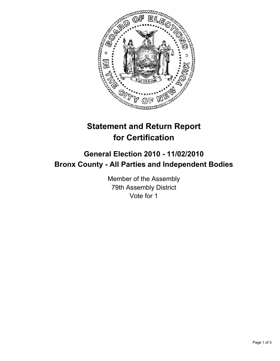

## **Statement and Return Report for Certification**

## **General Election 2010 - 11/02/2010 Bronx County - All Parties and Independent Bodies**

Member of the Assembly 79th Assembly District Vote for 1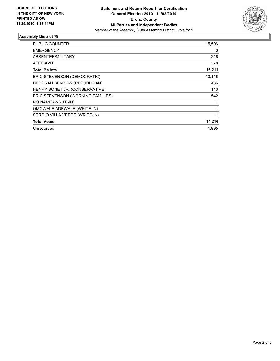

## **Assembly District 79**

| <b>PUBLIC COUNTER</b>             | 15,596       |
|-----------------------------------|--------------|
| <b>EMERGENCY</b>                  | 0            |
| ABSENTEE/MILITARY                 | 216          |
| <b>AFFIDAVIT</b>                  | 378          |
| <b>Total Ballots</b>              | 16,211       |
| ERIC STEVENSON (DEMOCRATIC)       | 13,116       |
| DEBORAH BENBOW (REPUBLICAN)       | 436          |
| HENRY BONET JR. (CONSERVATIVE)    | 113          |
| ERIC STEVENSON (WORKING FAMILIES) | 542          |
| NO NAME (WRITE-IN)                | 7            |
| <b>OMOWALE ADEWALE (WRITE-IN)</b> | 1            |
| SERGIO VILLA VERDE (WRITE-IN)     | $\mathbf{1}$ |
| <b>Total Votes</b>                | 14,216       |
| Unrecorded                        | 1.995        |